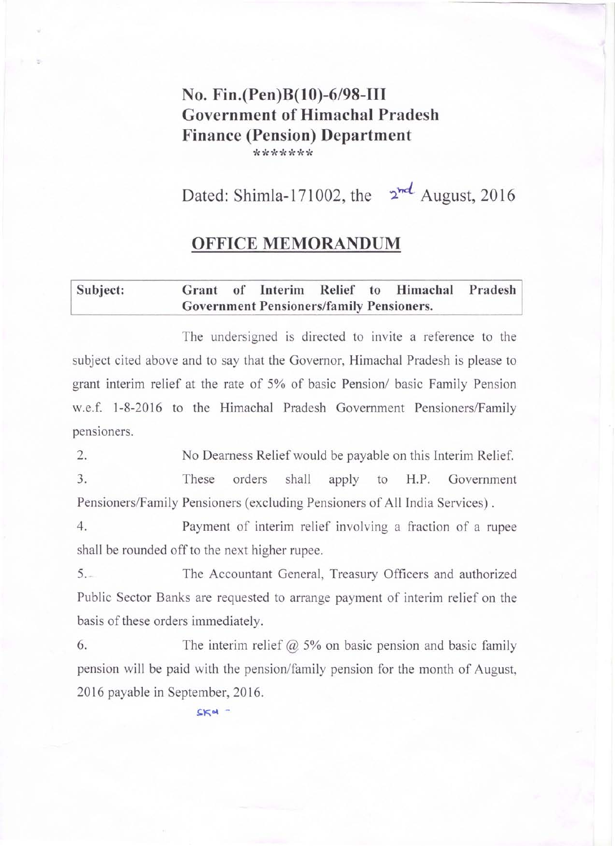## No. Fin.(Pen)B(lO)-6/98-III Government of Himachal Pradesh Finance (Pension) Department \*\*\*\*\*\*\*

Dated: Shimla-171002, the  $2^{nd}$  August, 2016

### OFFICE MEMORANDUM

#### Subject: Grant of Interim Relief to Himachal Pradesh Government Pensioners/family Pensioners.

The undersigned is directed to invite a reference to the subject cited above and to say that the Governor, Himachal Pradesh is please to grant interim relief at the rate of 5% of basic Pension/ basic Family Pension w.e.f. 1-8-2016 to the Himachal Pradesh Government Pensioners/Family pensioners.

2. 3. No Dearness Relief would be payable on this Interim Relief. These orders shall apply to H.P. Government Pensioners/Family Pensioners (excluding Pensioners of All India Services) .

4. Payment of interim relief involving a fraction of a rupee shall be rounded off to the next higher rupee.

5. The Accountant General, Treasury Officers and authorized Public Sector Banks are requested to arrange payment of interim relief on the basis of these orders immediately.

6. The interim relief  $\omega$  5% on basic pension and basic family pension will be paid with the pension/family pension for the month of August, 2016 payable in September, 2016.

 $SKd$  -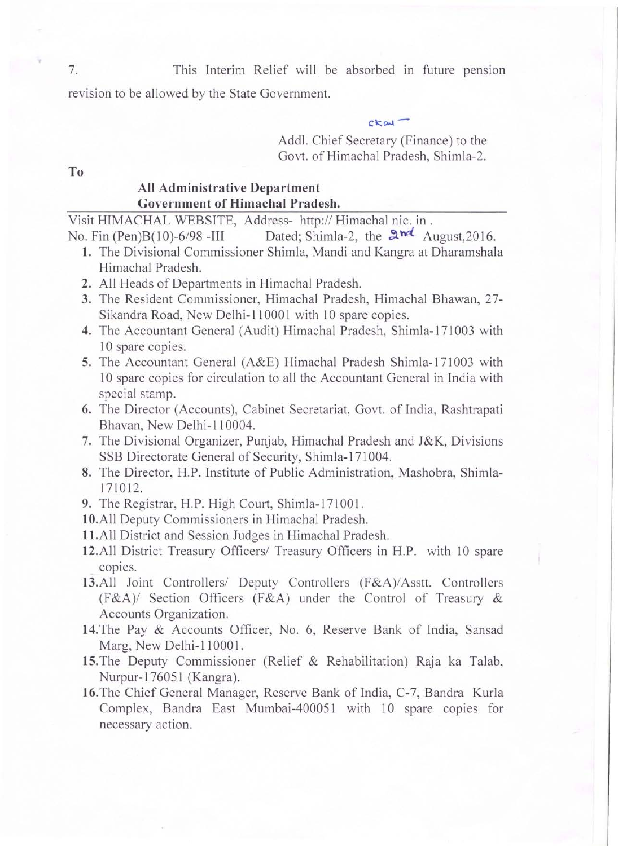7. This Interim Relief will be absorbed in future pension

revision to be allowed by the State Government.

 $ck<sub>ext</sub>$ -

Addl. Chief Secretary (Finance) to the Govt. of Himachal Pradesh, Shimla-2.

To

### All Administrative Department Government of Himachal Pradesh.

Visit HIMACHAL WEBSITE, Address- http:// Himachal nic. in.

No. Fin (Pen)B(10)-6/98 -III Dated; Shimla-2, the  $\mathbb{R}^{n\ell}$  August,2016.

- 1. The Divisional Commissioner Shimla, Mandi and Kangra at Dharamshala Himachal Pradesh.
- 2. All Heads of Departments in Himachal Pradesh.
- 3. The Resident Commissioner, Himachal Pradesh, Himachal Bhawan, 27- Sikandra Road, New Delhi-110001 with 10 spare copies.
- 4. The Accountant General (Audit) Himachal Pradesh, Shimla-171003 with 10 spare copies.
- 5. The Accountant General (A&E) Himachal Pradesh Shimla-171003 with 10 spare copies for circulation to all the Accountant General in India with special stamp.
- 6. The Director (Accounts), Cabinet Secretariat, Govt. of India, Rashtrapati Bhavan, New Delhi-II 0004.
- 7. The Divisional Organizer, Punjab, Himachal Pradesh and J&K, Divisions SSB Directorate General of Security, Shimla-171004.
- 8. The Director, H.P. Institute of Public Administration, Mashobra, Shimla-171012.
- 9. The Registrar, H.P. High Court, Shimla-171001.
- 10.All Deputy Commissioners in Himachal Pradesh.
- I1.All District and Session Judges in Himachal Pradesh.
- 12.All District Treasury Officers/ Treasury Officers in H.P. with 10 spare copies.
- 13.All Joint Controllers/ Deputy Controllers (F&A)/Asstt. Controllers (F&A)/ Section Officers (F&A) under the Control of Treasury & Accounts Organization.
- 14. The Pay & Accounts Officer, No. 6, Reserve Bank of India, Sansad Marg, New Delhi-110001.
- 15. The Deputy Commissioner (Relief & Rehabilitation) Raja ka Talab, Nurpur-1760S1 (Kangra).
- 16. The Chief General Manager, Reserve Bank of India, C-7, Bandra Kurla Complex, Bandra East Mumbai-4000S1 with 10 spare copies for necessary action.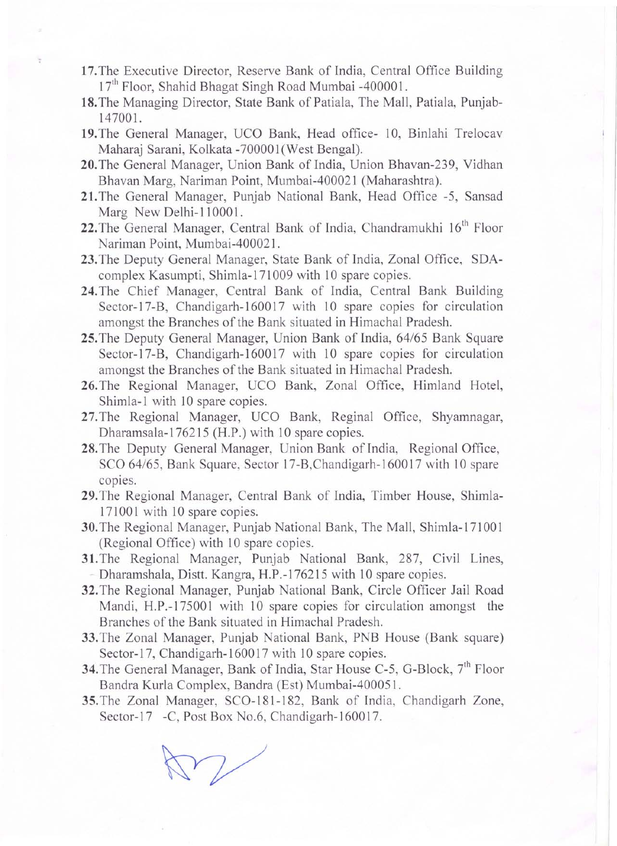- **17.** The Executive Director, Reserve Bank of India, Central Office Building  $17<sup>th</sup>$  Floor, Shahid Bhagat Singh Road Mumbai -400001.
- **18.** The Managing Director, State Bank of Patiala, The Mall, Patiala, Punjab-14700l.
- **19.** The General Manager, UCO Bank, Head office- 10, Binlahi Trelocav Maharaj Sarani, Kolkata -700001 (West Bengal).
- 20.The General Manager, Union Bank of India, Union Bhavan-239, Vidhan Bhavan Marg, Nariman Point, Mumbai-40002I (Maharashtra).
- 21.The General Manager, Punjab National Bank, Head Office -5, Sansad Marg New Delhi-110001.
- 22. The General Manager, Central Bank of India, Chandramukhi 16<sup>th</sup> Floor Nariman Point, Mumbai-40002I.
- 23.The Deputy General Manager, State Bank of India, Zonal Office, SDAcomplex Kasumpti, Shimla-I7I 009 with 10 spare copies.
- **24.** The Chief Manager, Central Bank of India, Central Bank Building Sector-17-B, Chandigarh-160017 with 10 spare copies for circulation amongst the Branches of the Bank situated in Himachal Pradesh.
- **25.** The Deputy General Manager, Union Bank of India, 64/65 Bank Square Sector-17-B, Chandigarh-160017 with 10 spare copies for circulation amongst the Branches of the Bank situated in Himachal Pradesh.
- **26.** The Regional Manager, UCO Bank, Zonal Office, Himland Hotel, Shimla-l with 10 spare copies.
- 27.The Regional Manager, UCO Bank, Reginal Office, Shyamnagar, Dharamsala-176215 (H.P.) with 10 spare copies.
- **28.** The Deputy General Manager, Union Bank of India, Regional Office, SCO 64/65, Bank Square, Sector 17-B, Chandigarh-160017 with 10 spare copies.
- **29.** The Regional Manager, Central Bank of India, Timber House, Shimla-171001 with 10 spare copies.
- **30.** The Regional Manager, Punjab National Bank, The Mall, Shimla-171 00 1 (Regional Office) with 10 spare copies.
- 31.The Regional Manager, Punjab National Bank, 287, Civil Lines, Dharamshala, Distt. Kangra, H.P.-176215 with 10 spare copies.
- 32.The Regional Manager, Punjab National Bank, Circle Officer Jail Road Mandi, H.P.-175001 with 10 spare copies for circulation amongst the Branches of the Bank situated in Himachal Pradesh.
- 33.The Zonal Manager, Punjab National Bank, PNB House (Bank square) Sector-17, Chandigarh-160017 with 10 spare copies.
- **34.** The General Manager, Bank of India, Star House C-5, G-Block, 7<sup>th</sup> Floor Bandra Kurla Complex, Bandra (Est) Mumbai-400051.
- **35.** The Zonal Manager, SCO-181-182, Bank of India, Chandigarh Zone, Sector-17 -C, Post Box No.6, Chandigarh-160017.

 $\sqrt{ }$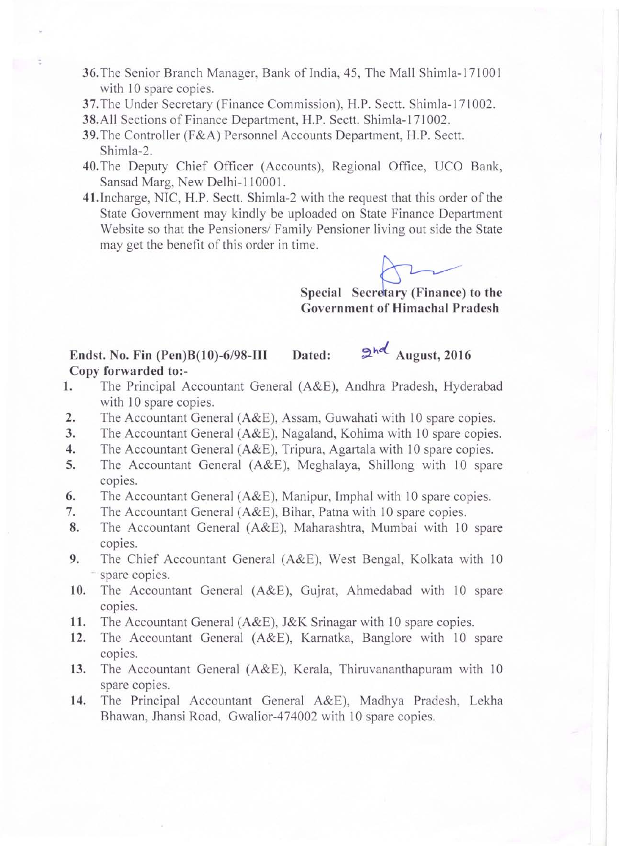- **36.** The Senior Branch Manager, Bank of India, 45, The Mall Shimla-171001 with 10 spare copies.
- **37.** The Under Secretary (Finance Commission), H.P. Sectt. Shimla-171002.
- **38.**All Sections of Finance Department, H.P. Sectt. Shimla-171002.

;

- **39.** The Controller (F&A) Personnel Accounts Department, H.P. Sectt. Shimla-2.
- **40.The** Deputy Chief Officer (Accounts), Regional Office, UCO Bank, Sansad Marg, New Delhi-110001.
- 41.Incharge, NIC, H.P. Sectt. Shimla-2 with the request that this order of the State Government may kindly be uploaded on State Finance Department Website so that the Pensioners/ Family Pensioner living out side the State may get the benefit of this order in time.

Special Secretary (Finance) to the **Government of Himachal Pradesh** 

# **Endst. No. Fin (Pen)B(10)-6/98-III** Dated: 2<sup>hol</sup> August, 2016 **Copy forwarded to:-**

- 1. The Principal Accountant General (A&E), Andhra Pradesh, Hyderabad with 10 spare copies.
- **2.** The Accountant General (A&E), Assam, Guwahati with 10 spare copies.
- **3.** The Accountant General (A&E), Nagaland, Kohima with 10 spare copies.
- **4.** The Accountant General (A&E), Tripura, Agartala with 10 spare copies.
- **5.** The Accountant General (A&E), Meghalaya, Shillong with 10 spare copies.
- **6.** The Accountant General (A&E), Manipur, Imphal with 10 spare copies.
- **7.** The Accountant General (A&E), Bihar, Patna with 10 spare copies.
- **8.** The Accountant General (A&E), Maharashtra, Mumbai with 10 spare copies.
- **9.** The Chief Accountant General (A&E), West Bengal, Kolkata with 10 spare copies.
- **10.** The Accountant General (A&E), Gujrat, Ahmedabad with 10 spare copies.
- **11.** The Accountant General (A&E), J&K Srinagar with 10 spare copies.
- **12.** The Accountant General (A&E), Karnatka, Banglore with 10 spare copies.
- **13.** The Accountant General (A&E), Kerala, Thiruvananthapuram with 10 spare copies.
- **14.** The Principal Accountant General A&E), Madhya Pradesh, Lekha Bhawan, Jhansi Road, Gwalior-474002 with 10 spare copies.